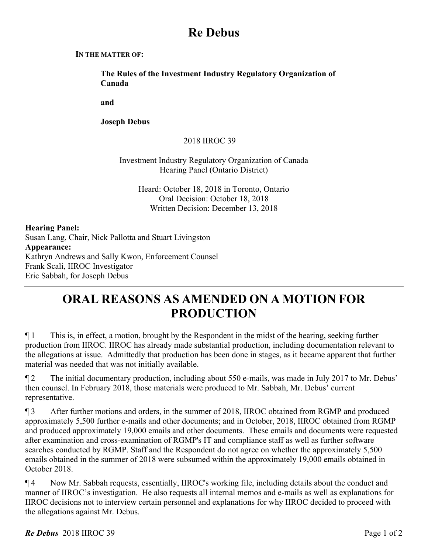## **Re Debus**

#### **IN THE MATTER OF:**

**The Rules of the Investment Industry Regulatory Organization of Canada** 

**and** 

**Joseph Debus** 

## 2018 IIROC 39

### Investment Industry Regulatory Organization of Canada Hearing Panel (Ontario District)

Heard: October 18, 2018 in Toronto, Ontario Oral Decision: October 18, 2018 Written Decision: December 13, 2018

#### **Hearing Panel:**

Susan Lang, Chair, Nick Pallotta and Stuart Livingston **Appearance:**  Kathryn Andrews and Sally Kwon, Enforcement Counsel Frank Scali, IIROC Investigator Eric Sabbah, for Joseph Debus

# **ORAL REASONS AS AMENDED ON A MOTION FOR PRODUCTION**

 $\P$  1 This is, in effect, a motion, brought by the Respondent in the midst of the hearing, seeking further production from IIROC. IIROC has already made substantial production, including documentation relevant to the allegations at issue. Admittedly that production has been done in stages, as it became apparent that further material was needed that was not initially available.

¶ 2 The initial documentary production, including about 550 e-mails, was made in July 2017 to Mr. Debus' then counsel. In February 2018, those materials were produced to Mr. Sabbah, Mr. Debus' current representative.

¶ 3 After further motions and orders, in the summer of 2018, IIROC obtained from RGMP and produced approximately 5,500 further e-mails and other documents; and in October, 2018, IIROC obtained from RGMP and produced approximately 19,000 emails and other documents. These emails and documents were requested after examination and cross-examination of RGMP's IT and compliance staff as well as further software searches conducted by RGMP. Staff and the Respondent do not agree on whether the approximately 5,500 emails obtained in the summer of 2018 were subsumed within the approximately 19,000 emails obtained in October 2018.

¶ 4 Now Mr. Sabbah requests, essentially, IIROC's working file, including details about the conduct and manner of IIROC's investigation. He also requests all internal memos and e-mails as well as explanations for IIROC decisions not to interview certain personnel and explanations for why IIROC decided to proceed with the allegations against Mr. Debus.